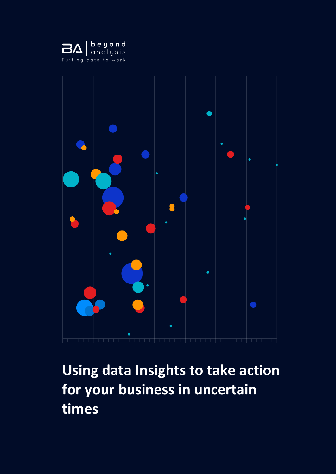



# **Using data Insights to take action for your business in uncertain times**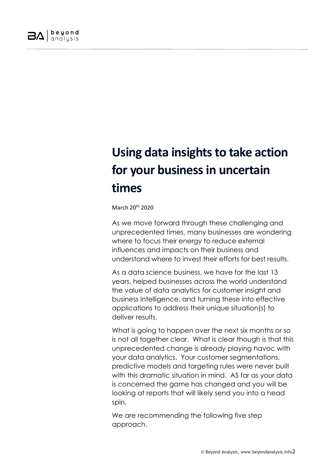

## **Using data insights to take action for your business in uncertain times**

March 20th 2020

As we move forward through these challenging and unprecedented times, many businesses are wondering where to focus their energy to reduce external influences and impacts on their business and understand where to invest their efforts for best results.

As a data science business, we have for the last 13 years, helped businesses across the world understand the value of data analytics for customer insight and business intelligence, and turning these into effective applications to address their unique situation(s) to deliver results.

What is going to happen over the next six months or so is not all together clear. What is clear though is that this unprecedented change is already playing havoc with your data analytics. Your customer segmentations, predictive models and targeting rules were never built with this dramatic situation in mind. AS far as your data is concerned the game has changed and you will be looking at reports that will likely send you into a head spin.

We are recommending the following five step approach.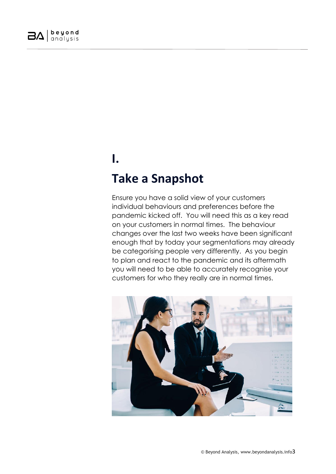

## **I. Take a Snapshot**

Ensure you have a solid view of your customers individual behaviours and preferences before the pandemic kicked off. You will need this as a key read on your customers in normal times. The behaviour changes over the last two weeks have been significant enough that by today your segmentations may already be categorising people very differently. As you begin to plan and react to the pandemic and its aftermath you will need to be able to accurately recognise your customers for who they really are in normal times.

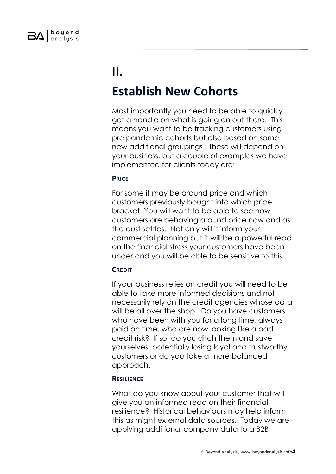

## **II.**

### **Establish New Cohorts**

Most importantly you need to be able to quickly get a handle on what is going on out there. This means you want to be tracking customers using pre pandemic cohorts but also based on some new additional groupings. These will depend on your business, but a couple of examples we have implemented for clients today are:

### **PRICE**

For some it may be around price and which customers previously bought into which price bracket. You will want to be able to see how customers are behaving around price now and as the dust settles. Not only will it inform your commercial planning but it will be a powerful read on the financial stress your customers have been under and you will be able to be sensitive to this.

### **CREDIT**

If your business relies on credit you will need to be able to take more informed decisions and not necessarily rely on the credit agencies whose data will be all over the shop. Do you have customers who have been with you for a long time, always paid on time, who are now looking like a bad credit risk? If so, do you ditch them and save yourselves, potentially losing loyal and trustworthy customers or do you take a more balanced approach.

### **RESILIENCE**

What do you know about your customer that will give you an informed read on their financial resilience? Historical behaviours may help inform this as might external data sources. Today we are applying additional company data to a B2B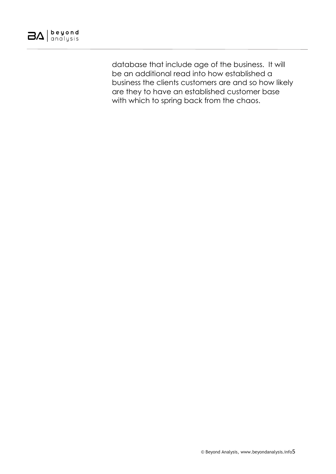

database that include age of the business. It will be an additional read into how established a business the clients customers are and so how likely are they to have an established customer base with which to spring back from the chaos.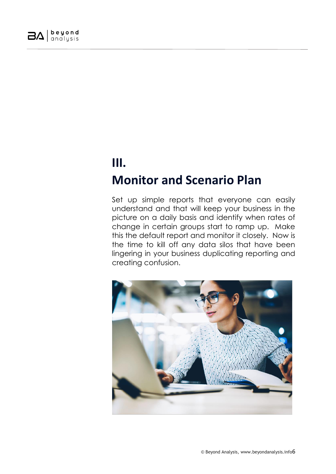

### **III. Monitor and Scenario Plan**

Set up simple reports that everyone can easily understand and that will keep your business in the picture on a daily basis and identify when rates of change in certain groups start to ramp up. Make this the default report and monitor it closely. Now is the time to kill off any data silos that have been lingering in your business duplicating reporting and creating confusion.

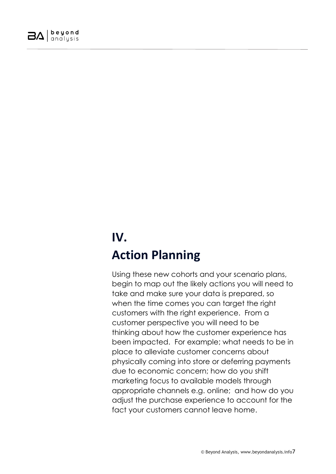

## **IV. Action Planning**

Using these new cohorts and your scenario plans, begin to map out the likely actions you will need to take and make sure your data is prepared, so when the time comes you can target the right customers with the right experience. From a customer perspective you will need to be thinking about how the customer experience has been impacted. For example; what needs to be in place to alleviate customer concerns about physically coming into store or deferring payments due to economic concern; how do you shift marketing focus to available models through appropriate channels e.g. online; and how do you adjust the purchase experience to account for the fact your customers cannot leave home.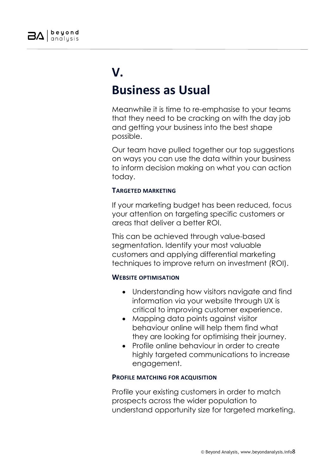

### **V. Business as Usual**

Meanwhile it is time to re-emphasise to your teams that they need to be cracking on with the day job and getting your business into the best shape possible.

Our team have pulled together our top suggestions on ways you can use the data within your business to inform decision making on what you can action today.

### **TARGETED MARKETING**

If your marketing budget has been reduced, focus your attention on targeting specific customers or areas that deliver a better ROI.

This can be achieved through value-based segmentation. Identify your most valuable customers and applying differential marketing techniques to improve return on investment (ROI).

### **WEBSITE OPTIMISATION**

- Understanding how visitors navigate and find information via your website through UX is critical to improving customer experience.
- Mapping data points against visitor behaviour online will help them find what they are looking for optimising their journey.
- Profile online behaviour in order to create highly targeted communications to increase engagement.

### **PROFILE MATCHING FOR ACQUISITION**

Profile your existing customers in order to match prospects across the wider population to understand opportunity size for targeted marketing.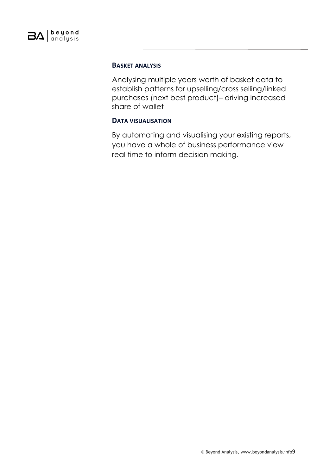#### **BASKET ANALYSIS**

Analysing multiple years worth of basket data to establish patterns for upselling/cross selling/linked purchases (next best product)– driving increased share of wallet

#### **DATA VISUALISATION**

By automating and visualising your existing reports, you have a whole of business performance view real time to inform decision making.